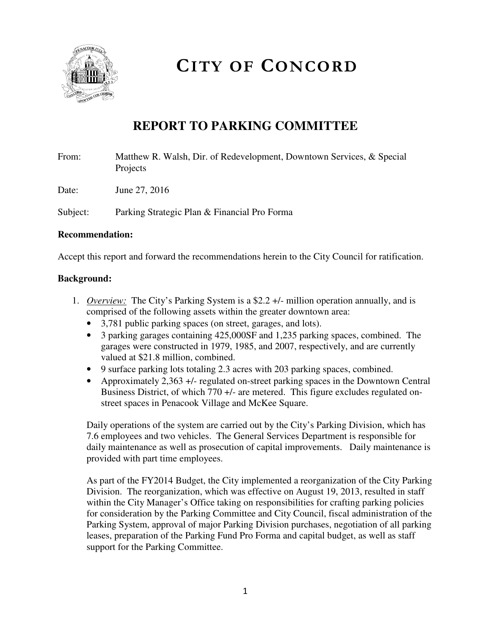

# **CITY OF CONCORD**

# **REPORT TO PARKING COMMITTEE**

From: Matthew R. Walsh, Dir. of Redevelopment, Downtown Services, & Special Projects

Date: June 27, 2016

Subject: Parking Strategic Plan & Financial Pro Forma

#### **Recommendation:**

Accept this report and forward the recommendations herein to the City Council for ratification.

#### **Background:**

- 1. *Overview:* The City's Parking System is a \$2.2 +/- million operation annually, and is comprised of the following assets within the greater downtown area:
	- 3,781 public parking spaces (on street, garages, and lots).
	- 3 parking garages containing 425,000SF and 1,235 parking spaces, combined. The garages were constructed in 1979, 1985, and 2007, respectively, and are currently valued at \$21.8 million, combined.
	- 9 surface parking lots totaling 2.3 acres with 203 parking spaces, combined.
	- Approximately 2,363 +/- regulated on-street parking spaces in the Downtown Central Business District, of which 770 +/- are metered. This figure excludes regulated onstreet spaces in Penacook Village and McKee Square.

Daily operations of the system are carried out by the City's Parking Division, which has 7.6 employees and two vehicles. The General Services Department is responsible for daily maintenance as well as prosecution of capital improvements. Daily maintenance is provided with part time employees.

As part of the FY2014 Budget, the City implemented a reorganization of the City Parking Division. The reorganization, which was effective on August 19, 2013, resulted in staff within the City Manager's Office taking on responsibilities for crafting parking policies for consideration by the Parking Committee and City Council, fiscal administration of the Parking System, approval of major Parking Division purchases, negotiation of all parking leases, preparation of the Parking Fund Pro Forma and capital budget, as well as staff support for the Parking Committee.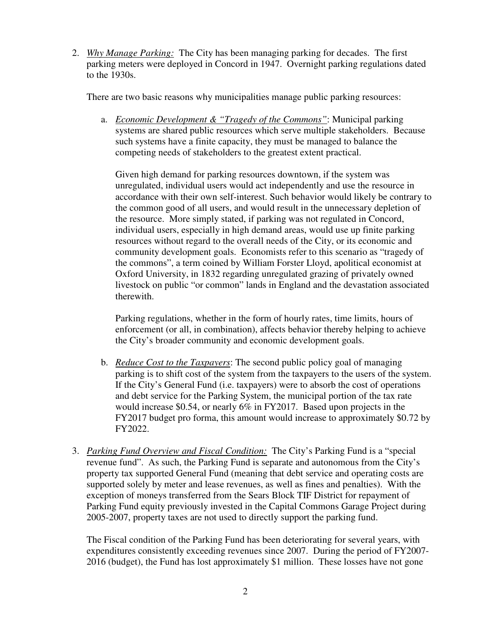2. *Why Manage Parking:* The City has been managing parking for decades. The first parking meters were deployed in Concord in 1947. Overnight parking regulations dated to the 1930s.

There are two basic reasons why municipalities manage public parking resources:

a. *Economic Development & "Tragedy of the Commons"*: Municipal parking systems are shared public resources which serve multiple stakeholders. Because such systems have a finite capacity, they must be managed to balance the competing needs of stakeholders to the greatest extent practical.

Given high demand for parking resources downtown, if the system was unregulated, individual users would act independently and use the resource in accordance with their own self-interest. Such behavior would likely be contrary to the common good of all users, and would result in the unnecessary depletion of the resource. More simply stated, if parking was not regulated in Concord, individual users, especially in high demand areas, would use up finite parking resources without regard to the overall needs of the City, or its economic and community development goals. Economists refer to this scenario as "tragedy of the commons", a term coined by William Forster Lloyd, apolitical economist at Oxford University, in 1832 regarding unregulated grazing of privately owned livestock on public "or common" lands in England and the devastation associated therewith.

Parking regulations, whether in the form of hourly rates, time limits, hours of enforcement (or all, in combination), affects behavior thereby helping to achieve the City's broader community and economic development goals.

- b. *Reduce Cost to the Taxpayers*: The second public policy goal of managing parking is to shift cost of the system from the taxpayers to the users of the system. If the City's General Fund (i.e. taxpayers) were to absorb the cost of operations and debt service for the Parking System, the municipal portion of the tax rate would increase \$0.54, or nearly 6% in FY2017. Based upon projects in the FY2017 budget pro forma, this amount would increase to approximately \$0.72 by FY2022.
- 3. *Parking Fund Overview and Fiscal Condition:* The City's Parking Fund is a "special revenue fund". As such, the Parking Fund is separate and autonomous from the City's property tax supported General Fund (meaning that debt service and operating costs are supported solely by meter and lease revenues, as well as fines and penalties). With the exception of moneys transferred from the Sears Block TIF District for repayment of Parking Fund equity previously invested in the Capital Commons Garage Project during 2005-2007, property taxes are not used to directly support the parking fund.

The Fiscal condition of the Parking Fund has been deteriorating for several years, with expenditures consistently exceeding revenues since 2007. During the period of FY2007- 2016 (budget), the Fund has lost approximately \$1 million. These losses have not gone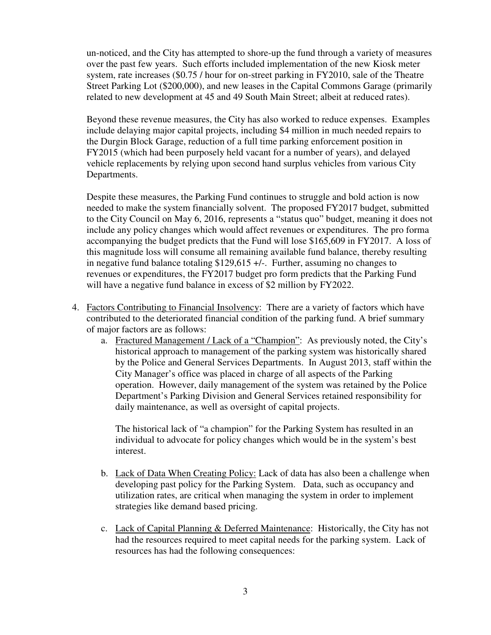un-noticed, and the City has attempted to shore-up the fund through a variety of measures over the past few years. Such efforts included implementation of the new Kiosk meter system, rate increases (\$0.75 / hour for on-street parking in FY2010, sale of the Theatre Street Parking Lot (\$200,000), and new leases in the Capital Commons Garage (primarily related to new development at 45 and 49 South Main Street; albeit at reduced rates).

Beyond these revenue measures, the City has also worked to reduce expenses. Examples include delaying major capital projects, including \$4 million in much needed repairs to the Durgin Block Garage, reduction of a full time parking enforcement position in FY2015 (which had been purposely held vacant for a number of years), and delayed vehicle replacements by relying upon second hand surplus vehicles from various City Departments.

Despite these measures, the Parking Fund continues to struggle and bold action is now needed to make the system financially solvent. The proposed FY2017 budget, submitted to the City Council on May 6, 2016, represents a "status quo" budget, meaning it does not include any policy changes which would affect revenues or expenditures. The pro forma accompanying the budget predicts that the Fund will lose \$165,609 in FY2017. A loss of this magnitude loss will consume all remaining available fund balance, thereby resulting in negative fund balance totaling \$129,615 +/-. Further, assuming no changes to revenues or expenditures, the FY2017 budget pro form predicts that the Parking Fund will have a negative fund balance in excess of \$2 million by FY2022.

- 4. Factors Contributing to Financial Insolvency: There are a variety of factors which have contributed to the deteriorated financial condition of the parking fund. A brief summary of major factors are as follows:
	- a. Fractured Management / Lack of a "Champion": As previously noted, the City's historical approach to management of the parking system was historically shared by the Police and General Services Departments. In August 2013, staff within the City Manager's office was placed in charge of all aspects of the Parking operation. However, daily management of the system was retained by the Police Department's Parking Division and General Services retained responsibility for daily maintenance, as well as oversight of capital projects.

The historical lack of "a champion" for the Parking System has resulted in an individual to advocate for policy changes which would be in the system's best interest.

- b. Lack of Data When Creating Policy: Lack of data has also been a challenge when developing past policy for the Parking System. Data, such as occupancy and utilization rates, are critical when managing the system in order to implement strategies like demand based pricing.
- c. Lack of Capital Planning & Deferred Maintenance: Historically, the City has not had the resources required to meet capital needs for the parking system. Lack of resources has had the following consequences: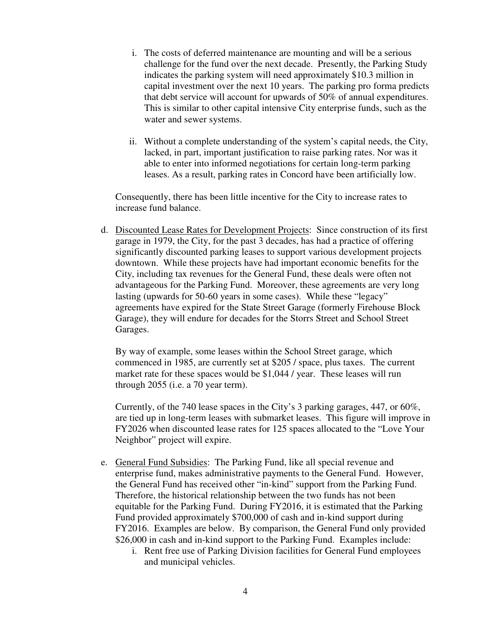- i. The costs of deferred maintenance are mounting and will be a serious challenge for the fund over the next decade. Presently, the Parking Study indicates the parking system will need approximately \$10.3 million in capital investment over the next 10 years. The parking pro forma predicts that debt service will account for upwards of 50% of annual expenditures. This is similar to other capital intensive City enterprise funds, such as the water and sewer systems.
- ii. Without a complete understanding of the system's capital needs, the City, lacked, in part, important justification to raise parking rates. Nor was it able to enter into informed negotiations for certain long-term parking leases. As a result, parking rates in Concord have been artificially low.

Consequently, there has been little incentive for the City to increase rates to increase fund balance.

d. Discounted Lease Rates for Development Projects: Since construction of its first garage in 1979, the City, for the past 3 decades, has had a practice of offering significantly discounted parking leases to support various development projects downtown. While these projects have had important economic benefits for the City, including tax revenues for the General Fund, these deals were often not advantageous for the Parking Fund. Moreover, these agreements are very long lasting (upwards for 50-60 years in some cases). While these "legacy" agreements have expired for the State Street Garage (formerly Firehouse Block Garage), they will endure for decades for the Storrs Street and School Street Garages.

By way of example, some leases within the School Street garage, which commenced in 1985, are currently set at \$205 / space, plus taxes. The current market rate for these spaces would be \$1,044 / year. These leases will run through 2055 (i.e. a 70 year term).

Currently, of the 740 lease spaces in the City's 3 parking garages, 447, or 60%, are tied up in long-term leases with submarket leases. This figure will improve in FY2026 when discounted lease rates for 125 spaces allocated to the "Love Your Neighbor" project will expire.

- e. General Fund Subsidies: The Parking Fund, like all special revenue and enterprise fund, makes administrative payments to the General Fund. However, the General Fund has received other "in-kind" support from the Parking Fund. Therefore, the historical relationship between the two funds has not been equitable for the Parking Fund. During FY2016, it is estimated that the Parking Fund provided approximately \$700,000 of cash and in-kind support during FY2016. Examples are below. By comparison, the General Fund only provided \$26,000 in cash and in-kind support to the Parking Fund. Examples include:
	- i. Rent free use of Parking Division facilities for General Fund employees and municipal vehicles.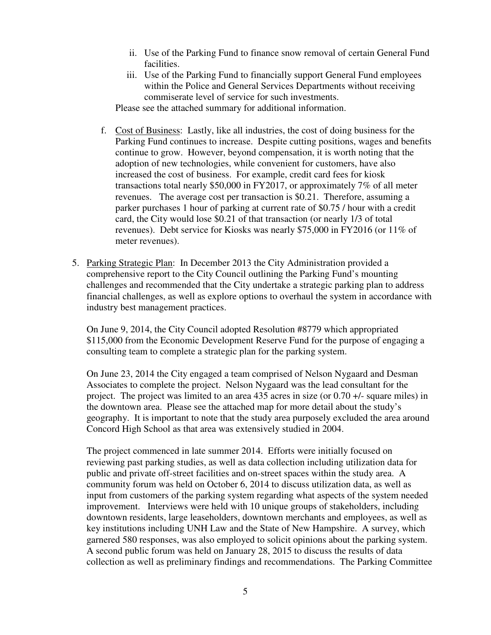- ii. Use of the Parking Fund to finance snow removal of certain General Fund facilities.
- iii. Use of the Parking Fund to financially support General Fund employees within the Police and General Services Departments without receiving commiserate level of service for such investments.

Please see the attached summary for additional information.

- f. Cost of Business: Lastly, like all industries, the cost of doing business for the Parking Fund continues to increase. Despite cutting positions, wages and benefits continue to grow. However, beyond compensation, it is worth noting that the adoption of new technologies, while convenient for customers, have also increased the cost of business. For example, credit card fees for kiosk transactions total nearly \$50,000 in FY2017, or approximately 7% of all meter revenues. The average cost per transaction is \$0.21. Therefore, assuming a parker purchases 1 hour of parking at current rate of \$0.75 / hour with a credit card, the City would lose \$0.21 of that transaction (or nearly 1/3 of total revenues). Debt service for Kiosks was nearly \$75,000 in FY2016 (or 11% of meter revenues).
- 5. Parking Strategic Plan: In December 2013 the City Administration provided a comprehensive report to the City Council outlining the Parking Fund's mounting challenges and recommended that the City undertake a strategic parking plan to address financial challenges, as well as explore options to overhaul the system in accordance with industry best management practices.

On June 9, 2014, the City Council adopted Resolution #8779 which appropriated \$115,000 from the Economic Development Reserve Fund for the purpose of engaging a consulting team to complete a strategic plan for the parking system.

On June 23, 2014 the City engaged a team comprised of Nelson Nygaard and Desman Associates to complete the project. Nelson Nygaard was the lead consultant for the project. The project was limited to an area 435 acres in size (or 0.70 +/- square miles) in the downtown area. Please see the attached map for more detail about the study's geography. It is important to note that the study area purposely excluded the area around Concord High School as that area was extensively studied in 2004.

The project commenced in late summer 2014. Efforts were initially focused on reviewing past parking studies, as well as data collection including utilization data for public and private off-street facilities and on-street spaces within the study area. A community forum was held on October 6, 2014 to discuss utilization data, as well as input from customers of the parking system regarding what aspects of the system needed improvement. Interviews were held with 10 unique groups of stakeholders, including downtown residents, large leaseholders, downtown merchants and employees, as well as key institutions including UNH Law and the State of New Hampshire. A survey, which garnered 580 responses, was also employed to solicit opinions about the parking system. A second public forum was held on January 28, 2015 to discuss the results of data collection as well as preliminary findings and recommendations. The Parking Committee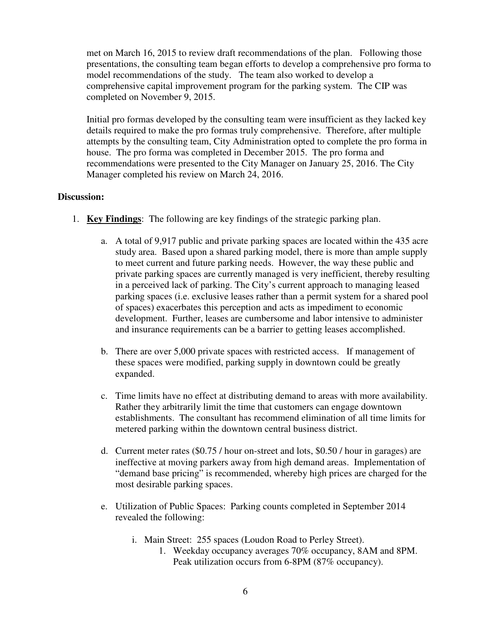met on March 16, 2015 to review draft recommendations of the plan. Following those presentations, the consulting team began efforts to develop a comprehensive pro forma to model recommendations of the study. The team also worked to develop a comprehensive capital improvement program for the parking system. The CIP was completed on November 9, 2015.

Initial pro formas developed by the consulting team were insufficient as they lacked key details required to make the pro formas truly comprehensive. Therefore, after multiple attempts by the consulting team, City Administration opted to complete the pro forma in house. The pro forma was completed in December 2015. The pro forma and recommendations were presented to the City Manager on January 25, 2016. The City Manager completed his review on March 24, 2016.

#### **Discussion:**

- 1. **Key Findings**: The following are key findings of the strategic parking plan.
	- a. A total of 9,917 public and private parking spaces are located within the 435 acre study area. Based upon a shared parking model, there is more than ample supply to meet current and future parking needs. However, the way these public and private parking spaces are currently managed is very inefficient, thereby resulting in a perceived lack of parking. The City's current approach to managing leased parking spaces (i.e. exclusive leases rather than a permit system for a shared pool of spaces) exacerbates this perception and acts as impediment to economic development. Further, leases are cumbersome and labor intensive to administer and insurance requirements can be a barrier to getting leases accomplished.
	- b. There are over 5,000 private spaces with restricted access. If management of these spaces were modified, parking supply in downtown could be greatly expanded.
	- c. Time limits have no effect at distributing demand to areas with more availability. Rather they arbitrarily limit the time that customers can engage downtown establishments. The consultant has recommend elimination of all time limits for metered parking within the downtown central business district.
	- d. Current meter rates (\$0.75 / hour on-street and lots, \$0.50 / hour in garages) are ineffective at moving parkers away from high demand areas. Implementation of "demand base pricing" is recommended, whereby high prices are charged for the most desirable parking spaces.
	- e. Utilization of Public Spaces: Parking counts completed in September 2014 revealed the following:
		- i. Main Street: 255 spaces (Loudon Road to Perley Street).
			- 1. Weekday occupancy averages 70% occupancy, 8AM and 8PM. Peak utilization occurs from 6-8PM (87% occupancy).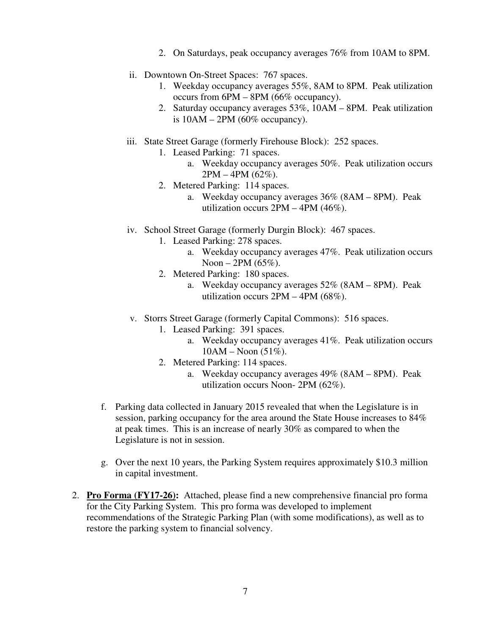- 2. On Saturdays, peak occupancy averages 76% from 10AM to 8PM.
- ii. Downtown On-Street Spaces: 767 spaces.
	- 1. Weekday occupancy averages 55%, 8AM to 8PM. Peak utilization occurs from 6PM – 8PM (66% occupancy).
	- 2. Saturday occupancy averages 53%, 10AM 8PM. Peak utilization is  $10AM - 2PM$  (60% occupancy).
- iii. State Street Garage (formerly Firehouse Block): 252 spaces.
	- 1. Leased Parking: 71 spaces.
		- a. Weekday occupancy averages 50%. Peak utilization occurs 2PM – 4PM (62%).
	- 2. Metered Parking: 114 spaces.
		- a. Weekday occupancy averages 36% (8AM 8PM). Peak utilization occurs 2PM – 4PM (46%).
- iv. School Street Garage (formerly Durgin Block): 467 spaces.
	- 1. Leased Parking: 278 spaces.
		- a. Weekday occupancy averages 47%. Peak utilization occurs Noon – 2PM  $(65\%)$ .
	- 2. Metered Parking: 180 spaces.
		- a. Weekday occupancy averages 52% (8AM 8PM). Peak utilization occurs  $2PM - 4PM (68\%)$ .
- v. Storrs Street Garage (formerly Capital Commons): 516 spaces.
	- 1. Leased Parking: 391 spaces.
		- a. Weekday occupancy averages 41%. Peak utilization occurs  $10AM - Noon (51\%).$
	- 2. Metered Parking: 114 spaces.
		- a. Weekday occupancy averages 49% (8AM 8PM). Peak utilization occurs Noon- 2PM (62%).
- f. Parking data collected in January 2015 revealed that when the Legislature is in session, parking occupancy for the area around the State House increases to 84% at peak times. This is an increase of nearly 30% as compared to when the Legislature is not in session.
- g. Over the next 10 years, the Parking System requires approximately \$10.3 million in capital investment.
- 2. **Pro Forma (FY17-26):** Attached, please find a new comprehensive financial pro forma for the City Parking System. This pro forma was developed to implement recommendations of the Strategic Parking Plan (with some modifications), as well as to restore the parking system to financial solvency.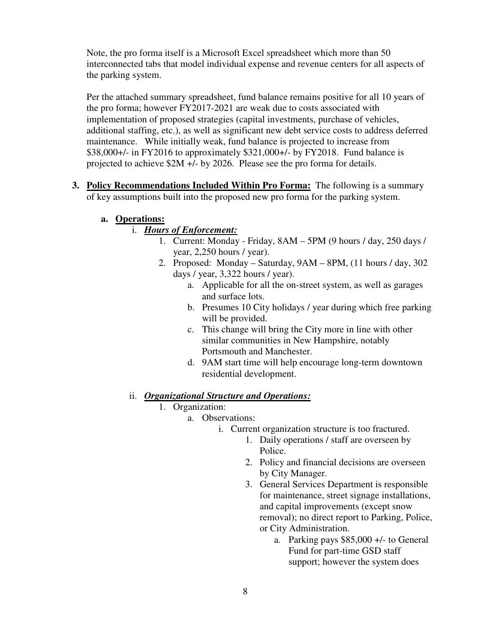Note, the pro forma itself is a Microsoft Excel spreadsheet which more than 50 interconnected tabs that model individual expense and revenue centers for all aspects of the parking system.

Per the attached summary spreadsheet, fund balance remains positive for all 10 years of the pro forma; however FY2017-2021 are weak due to costs associated with implementation of proposed strategies (capital investments, purchase of vehicles, additional staffing, etc.), as well as significant new debt service costs to address deferred maintenance. While initially weak, fund balance is projected to increase from \$38,000+/- in FY2016 to approximately \$321,000+/- by FY2018. Fund balance is projected to achieve \$2M +/- by 2026. Please see the pro forma for details.

**3. Policy Recommendations Included Within Pro Forma:** The following is a summary of key assumptions built into the proposed new pro forma for the parking system.

#### **a. Operations:**

# i. *Hours of Enforcement:*

- 1. Current: Monday Friday, 8AM 5PM (9 hours / day, 250 days / year, 2,250 hours / year).
- 2. Proposed: Monday Saturday, 9AM 8PM, (11 hours / day, 302 days / year, 3,322 hours / year).
	- a. Applicable for all the on-street system, as well as garages and surface lots.
	- b. Presumes 10 City holidays / year during which free parking will be provided.
	- c. This change will bring the City more in line with other similar communities in New Hampshire, notably Portsmouth and Manchester.
	- d. 9AM start time will help encourage long-term downtown residential development.

# ii. *Organizational Structure and Operations:*

- 1. Organization:
	- a. Observations:
		- i. Current organization structure is too fractured.
			- 1. Daily operations / staff are overseen by Police.
			- 2. Policy and financial decisions are overseen by City Manager.
			- 3. General Services Department is responsible for maintenance, street signage installations, and capital improvements (except snow removal); no direct report to Parking, Police, or City Administration.
				- a. Parking pays \$85,000 +/- to General Fund for part-time GSD staff support; however the system does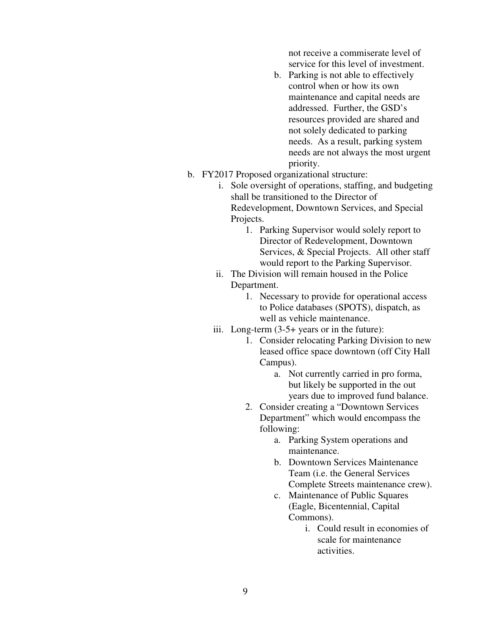not receive a commiserate level of service for this level of investment.

- b. Parking is not able to effectively control when or how its own maintenance and capital needs are addressed. Further, the GSD's resources provided are shared and not solely dedicated to parking needs. As a result, parking system needs are not always the most urgent priority.
- b. FY2017 Proposed organizational structure:
	- i. Sole oversight of operations, staffing, and budgeting shall be transitioned to the Director of Redevelopment, Downtown Services, and Special Projects.
		- 1. Parking Supervisor would solely report to Director of Redevelopment, Downtown Services, & Special Projects. All other staff would report to the Parking Supervisor.
	- ii. The Division will remain housed in the Police Department.
		- 1. Necessary to provide for operational access to Police databases (SPOTS), dispatch, as well as vehicle maintenance.
	- iii. Long-term (3-5+ years or in the future):
		- 1. Consider relocating Parking Division to new leased office space downtown (off City Hall Campus).
			- a. Not currently carried in pro forma, but likely be supported in the out years due to improved fund balance.
		- 2. Consider creating a "Downtown Services Department" which would encompass the following:
			- a. Parking System operations and maintenance.
			- b. Downtown Services Maintenance Team (i.e. the General Services Complete Streets maintenance crew).
			- c. Maintenance of Public Squares (Eagle, Bicentennial, Capital Commons).
				- i. Could result in economies of scale for maintenance activities.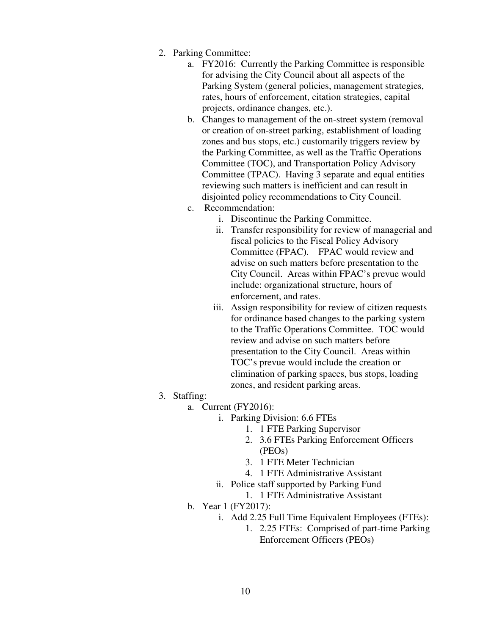- 2. Parking Committee:
	- a. FY2016: Currently the Parking Committee is responsible for advising the City Council about all aspects of the Parking System (general policies, management strategies, rates, hours of enforcement, citation strategies, capital projects, ordinance changes, etc.).
	- b. Changes to management of the on-street system (removal or creation of on-street parking, establishment of loading zones and bus stops, etc.) customarily triggers review by the Parking Committee, as well as the Traffic Operations Committee (TOC), and Transportation Policy Advisory Committee (TPAC). Having 3 separate and equal entities reviewing such matters is inefficient and can result in disjointed policy recommendations to City Council.
	- c. Recommendation:
		- i. Discontinue the Parking Committee.
		- ii. Transfer responsibility for review of managerial and fiscal policies to the Fiscal Policy Advisory Committee (FPAC). FPAC would review and advise on such matters before presentation to the City Council. Areas within FPAC's prevue would include: organizational structure, hours of enforcement, and rates.
		- iii. Assign responsibility for review of citizen requests for ordinance based changes to the parking system to the Traffic Operations Committee. TOC would review and advise on such matters before presentation to the City Council. Areas within TOC's prevue would include the creation or elimination of parking spaces, bus stops, loading zones, and resident parking areas.
- 3. Staffing:
	- a. Current (FY2016):
		- i. Parking Division: 6.6 FTEs
			- 1. 1 FTE Parking Supervisor
			- 2. 3.6 FTEs Parking Enforcement Officers (PEOs)
			- 3. 1 FTE Meter Technician
			- 4. 1 FTE Administrative Assistant
		- ii. Police staff supported by Parking Fund
			- 1. 1 FTE Administrative Assistant
	- b. Year 1 (FY2017):
		- i. Add 2.25 Full Time Equivalent Employees (FTEs):
			- 1. 2.25 FTEs: Comprised of part-time Parking Enforcement Officers (PEOs)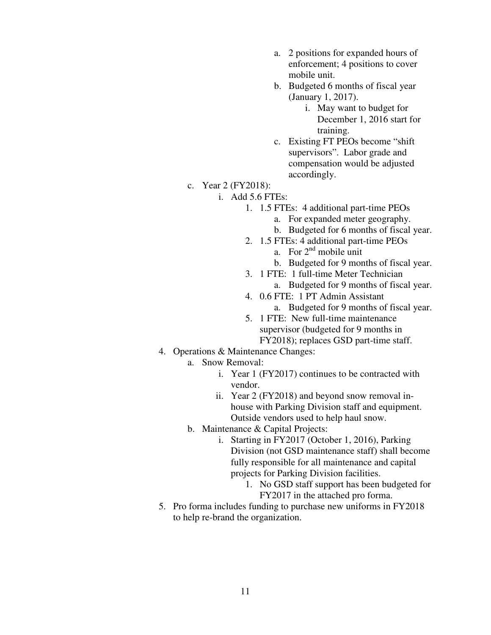- a. 2 positions for expanded hours of enforcement; 4 positions to cover mobile unit.
- b. Budgeted 6 months of fiscal year (January 1, 2017).
	- i. May want to budget for December 1, 2016 start for training.
- c. Existing FT PEOs become "shift supervisors". Labor grade and compensation would be adjusted accordingly.
- c. Year 2 (FY2018):
	- i. Add 5.6 FTEs:
		- 1. 1.5 FTEs: 4 additional part-time PEOs
			- a. For expanded meter geography.
			- b. Budgeted for 6 months of fiscal year.
		- 2. 1.5 FTEs: 4 additional part-time PEOs
			- a. For  $2<sup>nd</sup>$  mobile unit
			- b. Budgeted for 9 months of fiscal year.
		- 3. 1 FTE: 1 full-time Meter Technician
			- a. Budgeted for 9 months of fiscal year.
		- 4. 0.6 FTE: 1 PT Admin Assistant a. Budgeted for 9 months of fiscal year.
		- 5. 1 FTE: New full-time maintenance supervisor (budgeted for 9 months in FY2018); replaces GSD part-time staff.
- 4. Operations & Maintenance Changes:
	- a. Snow Removal:
		- i. Year 1 (FY2017) continues to be contracted with vendor.
		- ii. Year 2 (FY2018) and beyond snow removal inhouse with Parking Division staff and equipment. Outside vendors used to help haul snow.
	- b. Maintenance & Capital Projects:
		- i. Starting in FY2017 (October 1, 2016), Parking Division (not GSD maintenance staff) shall become fully responsible for all maintenance and capital projects for Parking Division facilities.
			- 1. No GSD staff support has been budgeted for FY2017 in the attached pro forma.
- 5. Pro forma includes funding to purchase new uniforms in FY2018 to help re-brand the organization.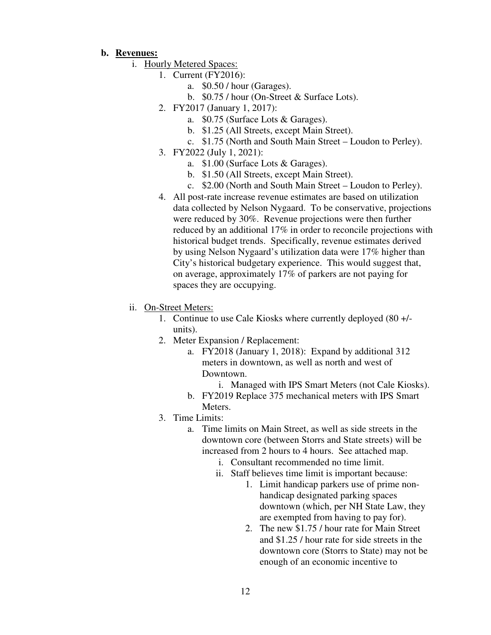#### **b. Revenues:**

- i. Hourly Metered Spaces:
	- 1. Current (FY2016):
		- a. \$0.50 / hour (Garages).
		- b. \$0.75 / hour (On-Street & Surface Lots).
		- 2. FY2017 (January 1, 2017):
			- a. \$0.75 (Surface Lots & Garages).
			- b. \$1.25 (All Streets, except Main Street).
			- c. \$1.75 (North and South Main Street Loudon to Perley).
		- 3. FY2022 (July 1, 2021):
			- a. \$1.00 (Surface Lots & Garages).
			- b. \$1.50 (All Streets, except Main Street).
			- c. \$2.00 (North and South Main Street Loudon to Perley).
		- 4. All post-rate increase revenue estimates are based on utilization data collected by Nelson Nygaard. To be conservative, projections were reduced by 30%. Revenue projections were then further reduced by an additional 17% in order to reconcile projections with historical budget trends. Specifically, revenue estimates derived by using Nelson Nygaard's utilization data were 17% higher than City's historical budgetary experience. This would suggest that, on average, approximately 17% of parkers are not paying for spaces they are occupying.
- ii. On-Street Meters:
	- 1. Continue to use Cale Kiosks where currently deployed (80 +/ units).
	- 2. Meter Expansion / Replacement:
		- a. FY2018 (January 1, 2018): Expand by additional 312 meters in downtown, as well as north and west of Downtown.
			- i. Managed with IPS Smart Meters (not Cale Kiosks).
		- b. FY2019 Replace 375 mechanical meters with IPS Smart Meters.
	- 3. Time Limits:
		- a. Time limits on Main Street, as well as side streets in the downtown core (between Storrs and State streets) will be increased from 2 hours to 4 hours. See attached map.
			- i. Consultant recommended no time limit.
			- ii. Staff believes time limit is important because:
				- 1. Limit handicap parkers use of prime nonhandicap designated parking spaces downtown (which, per NH State Law, they are exempted from having to pay for).
				- 2. The new \$1.75 / hour rate for Main Street and \$1.25 / hour rate for side streets in the downtown core (Storrs to State) may not be enough of an economic incentive to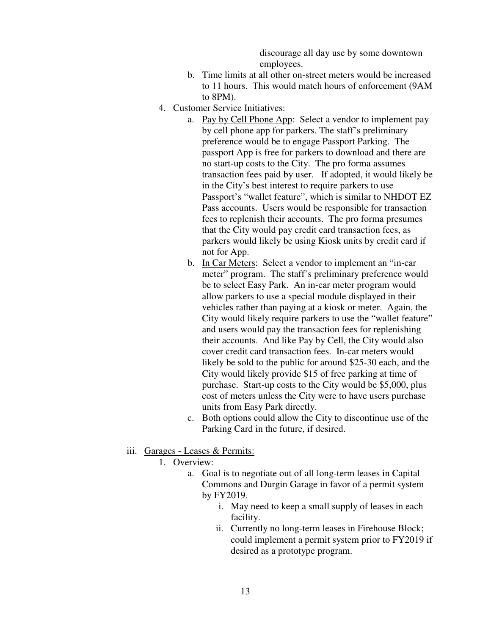discourage all day use by some downtown employees.

- b. Time limits at all other on-street meters would be increased to 11 hours. This would match hours of enforcement (9AM to 8PM).
- 4. Customer Service Initiatives:
	- a. Pay by Cell Phone App: Select a vendor to implement pay by cell phone app for parkers. The staff's preliminary preference would be to engage Passport Parking. The passport App is free for parkers to download and there are no start-up costs to the City. The pro forma assumes transaction fees paid by user. If adopted, it would likely be in the City's best interest to require parkers to use Passport's "wallet feature", which is similar to NHDOT EZ Pass accounts. Users would be responsible for transaction fees to replenish their accounts. The pro forma presumes that the City would pay credit card transaction fees, as parkers would likely be using Kiosk units by credit card if not for App.
	- b. In Car Meters: Select a vendor to implement an "in-car meter" program. The staff's preliminary preference would be to select Easy Park. An in-car meter program would allow parkers to use a special module displayed in their vehicles rather than paying at a kiosk or meter. Again, the City would likely require parkers to use the "wallet feature" and users would pay the transaction fees for replenishing their accounts. And like Pay by Cell, the City would also cover credit card transaction fees. In-car meters would likely be sold to the public for around \$25-30 each, and the City would likely provide \$15 of free parking at time of purchase. Start-up costs to the City would be \$5,000, plus cost of meters unless the City were to have users purchase units from Easy Park directly.
	- c. Both options could allow the City to discontinue use of the Parking Card in the future, if desired.
- iii. Garages Leases & Permits:
	- 1. Overview:
		- a. Goal is to negotiate out of all long-term leases in Capital Commons and Durgin Garage in favor of a permit system by FY2019.
			- i. May need to keep a small supply of leases in each facility.
			- ii. Currently no long-term leases in Firehouse Block; could implement a permit system prior to FY2019 if desired as a prototype program.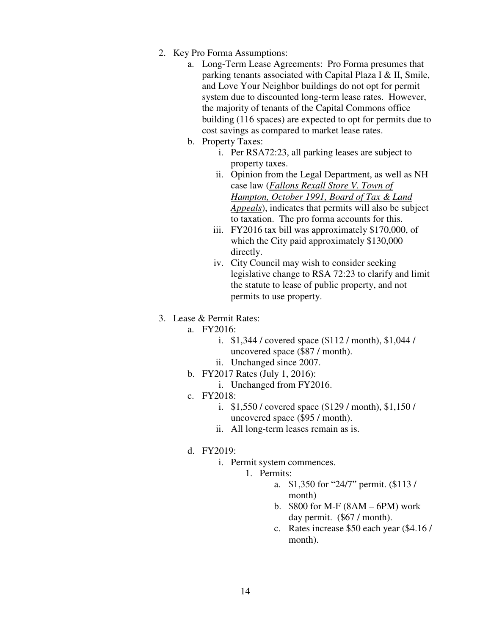- 2. Key Pro Forma Assumptions:
	- a. Long-Term Lease Agreements: Pro Forma presumes that parking tenants associated with Capital Plaza I & II, Smile, and Love Your Neighbor buildings do not opt for permit system due to discounted long-term lease rates. However, the majority of tenants of the Capital Commons office building (116 spaces) are expected to opt for permits due to cost savings as compared to market lease rates.
	- b. Property Taxes:
		- i. Per RSA72:23, all parking leases are subject to property taxes.
		- ii. Opinion from the Legal Department, as well as NH case law (*Fallons Rexall Store V. Town of Hampton, October 1991, Board of Tax & Land Appeals*), indicates that permits will also be subject to taxation. The pro forma accounts for this.
		- iii. FY2016 tax bill was approximately \$170,000, of which the City paid approximately \$130,000 directly.
		- iv. City Council may wish to consider seeking legislative change to RSA 72:23 to clarify and limit the statute to lease of public property, and not permits to use property.

#### 3. Lease & Permit Rates:

a. FY2016:

- i. \$1,344 / covered space (\$112 / month), \$1,044 / uncovered space (\$87 / month).
- ii. Unchanged since 2007.
- b. FY2017 Rates (July 1, 2016):
	- i. Unchanged from FY2016.
- c. FY2018:
	- i. \$1,550 / covered space (\$129 / month), \$1,150 / uncovered space (\$95 / month).
	- ii. All long-term leases remain as is.
- d. FY2019:
	- i. Permit system commences.
		- 1. Permits:
			- a. \$1,350 for "24/7" permit. (\$113 / month)
			- b. \$800 for M-F (8AM 6PM) work day permit. (\$67 / month).
			- c. Rates increase \$50 each year (\$4.16 / month).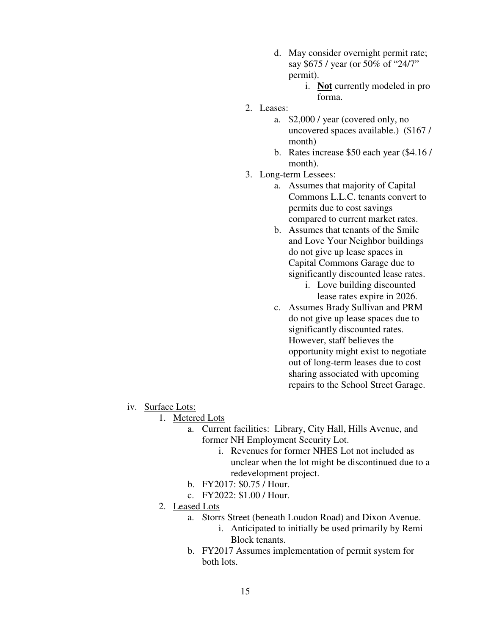- d. May consider overnight permit rate; say \$675 / year (or 50% of "24/7" permit).
	- i. **Not** currently modeled in pro forma.
- 2. Leases:
	- a. \$2,000 / year (covered only, no uncovered spaces available.) (\$167 / month)
	- b. Rates increase \$50 each year (\$4.16 / month).
- 3. Long-term Lessees:
	- a. Assumes that majority of Capital Commons L.L.C. tenants convert to permits due to cost savings compared to current market rates.
	- b. Assumes that tenants of the Smile and Love Your Neighbor buildings do not give up lease spaces in Capital Commons Garage due to significantly discounted lease rates.
		- i. Love building discounted lease rates expire in 2026.
	- c. Assumes Brady Sullivan and PRM do not give up lease spaces due to significantly discounted rates. However, staff believes the opportunity might exist to negotiate out of long-term leases due to cost sharing associated with upcoming repairs to the School Street Garage.

- iv. Surface Lots:
	- 1. Metered Lots
		- a. Current facilities: Library, City Hall, Hills Avenue, and former NH Employment Security Lot.
			- i. Revenues for former NHES Lot not included as unclear when the lot might be discontinued due to a redevelopment project.
		- b. FY2017: \$0.75 / Hour.
		- c. FY2022: \$1.00 / Hour.
	- 2. Leased Lots
		- a. Storrs Street (beneath Loudon Road) and Dixon Avenue.
			- i. Anticipated to initially be used primarily by Remi Block tenants.
		- b. FY2017 Assumes implementation of permit system for both lots.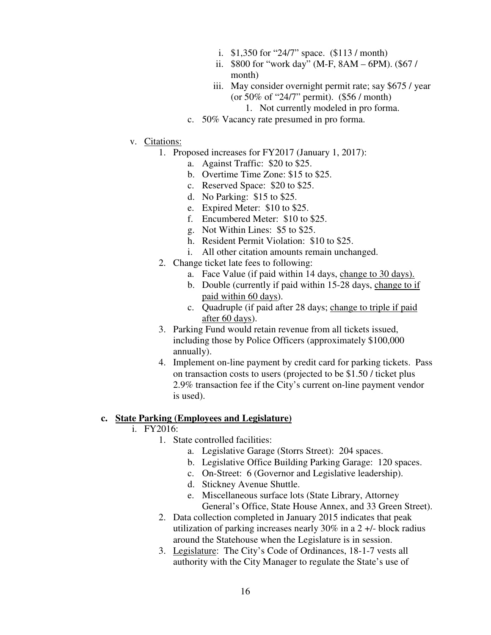- i. \$1,350 for "24/7" space. (\$113 / month)
- ii. \$800 for "work day" (M-F, 8AM 6PM). (\$67 / month)
- iii. May consider overnight permit rate; say \$675 / year (or 50% of "24/7" permit). (\$56 / month) 1. Not currently modeled in pro forma.
- c. 50% Vacancy rate presumed in pro forma.
- v. Citations:
	- 1. Proposed increases for FY2017 (January 1, 2017):
		- a. Against Traffic: \$20 to \$25.
		- b. Overtime Time Zone: \$15 to \$25.
		- c. Reserved Space: \$20 to \$25.
		- d. No Parking: \$15 to \$25.
		- e. Expired Meter: \$10 to \$25.
		- f. Encumbered Meter: \$10 to \$25.
		- g. Not Within Lines: \$5 to \$25.
		- h. Resident Permit Violation: \$10 to \$25.
		- i. All other citation amounts remain unchanged.
	- 2. Change ticket late fees to following:
		- a. Face Value (if paid within 14 days, change to 30 days).
		- b. Double (currently if paid within 15-28 days, change to if paid within 60 days).
		- c. Quadruple (if paid after 28 days; change to triple if paid after 60 days).
	- 3. Parking Fund would retain revenue from all tickets issued, including those by Police Officers (approximately \$100,000 annually).
	- 4. Implement on-line payment by credit card for parking tickets. Pass on transaction costs to users (projected to be \$1.50 / ticket plus 2.9% transaction fee if the City's current on-line payment vendor is used).

#### **c. State Parking (Employees and Legislature)**

- i. FY2016:
	- 1. State controlled facilities:
		- a. Legislative Garage (Storrs Street): 204 spaces.
		- b. Legislative Office Building Parking Garage: 120 spaces.
		- c. On-Street: 6 (Governor and Legislative leadership).
		- d. Stickney Avenue Shuttle.
		- e. Miscellaneous surface lots (State Library, Attorney General's Office, State House Annex, and 33 Green Street).
	- 2. Data collection completed in January 2015 indicates that peak utilization of parking increases nearly 30% in a 2 +/- block radius around the Statehouse when the Legislature is in session.
	- 3. Legislature: The City's Code of Ordinances, 18-1-7 vests all authority with the City Manager to regulate the State's use of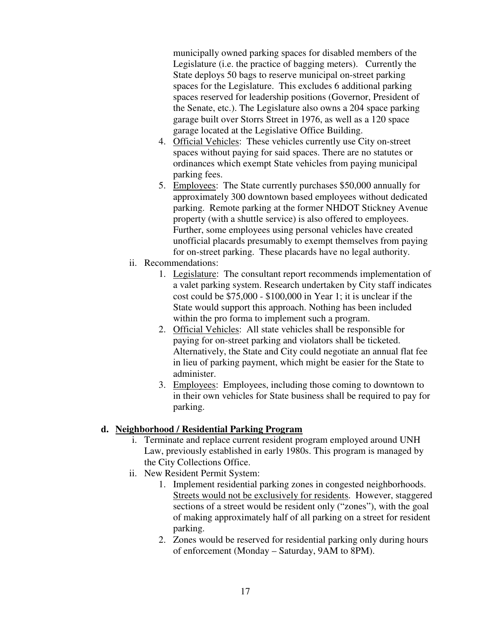municipally owned parking spaces for disabled members of the Legislature (i.e. the practice of bagging meters). Currently the State deploys 50 bags to reserve municipal on-street parking spaces for the Legislature. This excludes 6 additional parking spaces reserved for leadership positions (Governor, President of the Senate, etc.). The Legislature also owns a 204 space parking garage built over Storrs Street in 1976, as well as a 120 space garage located at the Legislative Office Building.

- 4. Official Vehicles: These vehicles currently use City on-street spaces without paying for said spaces. There are no statutes or ordinances which exempt State vehicles from paying municipal parking fees.
- 5. Employees: The State currently purchases \$50,000 annually for approximately 300 downtown based employees without dedicated parking. Remote parking at the former NHDOT Stickney Avenue property (with a shuttle service) is also offered to employees. Further, some employees using personal vehicles have created unofficial placards presumably to exempt themselves from paying for on-street parking. These placards have no legal authority.
- ii. Recommendations:
	- 1. Legislature: The consultant report recommends implementation of a valet parking system. Research undertaken by City staff indicates cost could be \$75,000 - \$100,000 in Year 1; it is unclear if the State would support this approach. Nothing has been included within the pro forma to implement such a program.
	- 2. Official Vehicles: All state vehicles shall be responsible for paying for on-street parking and violators shall be ticketed. Alternatively, the State and City could negotiate an annual flat fee in lieu of parking payment, which might be easier for the State to administer.
	- 3. Employees: Employees, including those coming to downtown to in their own vehicles for State business shall be required to pay for parking.

# **d. Neighborhood / Residential Parking Program**

- i. Terminate and replace current resident program employed around UNH Law, previously established in early 1980s. This program is managed by the City Collections Office.
- ii. New Resident Permit System:
	- 1. Implement residential parking zones in congested neighborhoods. Streets would not be exclusively for residents. However, staggered sections of a street would be resident only ("zones"), with the goal of making approximately half of all parking on a street for resident parking.
	- 2. Zones would be reserved for residential parking only during hours of enforcement (Monday – Saturday, 9AM to 8PM).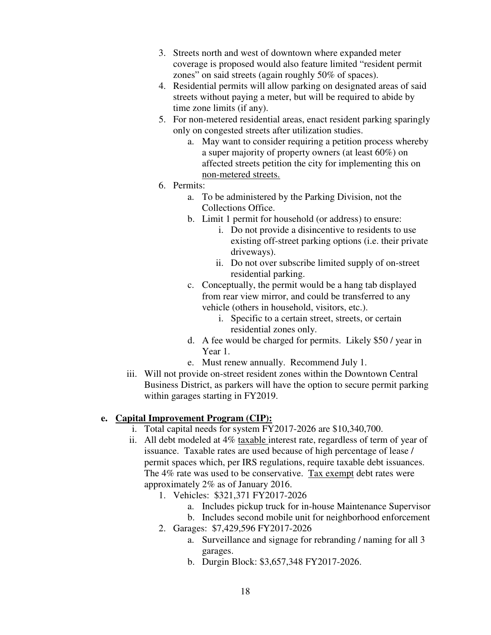- 3. Streets north and west of downtown where expanded meter coverage is proposed would also feature limited "resident permit zones" on said streets (again roughly 50% of spaces).
- 4. Residential permits will allow parking on designated areas of said streets without paying a meter, but will be required to abide by time zone limits (if any).
- 5. For non-metered residential areas, enact resident parking sparingly only on congested streets after utilization studies.
	- a. May want to consider requiring a petition process whereby a super majority of property owners (at least 60%) on affected streets petition the city for implementing this on non-metered streets.
- 6. Permits:
	- a. To be administered by the Parking Division, not the Collections Office.
	- b. Limit 1 permit for household (or address) to ensure:
		- i. Do not provide a disincentive to residents to use existing off-street parking options (i.e. their private driveways).
		- ii. Do not over subscribe limited supply of on-street residential parking.
	- c. Conceptually, the permit would be a hang tab displayed from rear view mirror, and could be transferred to any vehicle (others in household, visitors, etc.).
		- i. Specific to a certain street, streets, or certain residential zones only.
	- d. A fee would be charged for permits. Likely \$50 / year in Year 1.
	- e. Must renew annually. Recommend July 1.
- iii. Will not provide on-street resident zones within the Downtown Central Business District, as parkers will have the option to secure permit parking within garages starting in FY2019.

# **e. Capital Improvement Program (CIP):**

- i. Total capital needs for system FY2017-2026 are \$10,340,700.
- ii. All debt modeled at 4% taxable interest rate, regardless of term of year of issuance. Taxable rates are used because of high percentage of lease / permit spaces which, per IRS regulations, require taxable debt issuances. The 4% rate was used to be conservative. Tax exempt debt rates were approximately 2% as of January 2016.
	- 1. Vehicles: \$321,371 FY2017-2026
		- a. Includes pickup truck for in-house Maintenance Supervisor
		- b. Includes second mobile unit for neighborhood enforcement
	- 2. Garages: \$7,429,596 FY2017-2026
		- a. Surveillance and signage for rebranding / naming for all 3 garages.
		- b. Durgin Block: \$3,657,348 FY2017-2026.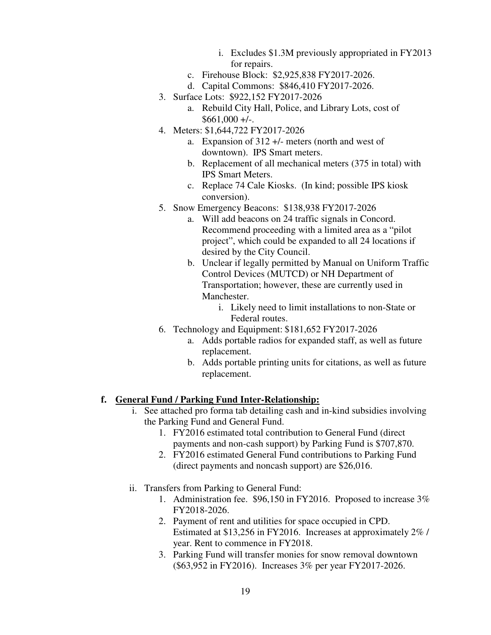- i. Excludes \$1.3M previously appropriated in FY2013 for repairs.
- c. Firehouse Block: \$2,925,838 FY2017-2026.
- d. Capital Commons: \$846,410 FY2017-2026.
- 3. Surface Lots: \$922,152 FY2017-2026
	- a. Rebuild City Hall, Police, and Library Lots, cost of  $$661,000 +/-$ .
- 4. Meters: \$1,644,722 FY2017-2026
	- a. Expansion of 312 +/- meters (north and west of downtown). IPS Smart meters.
	- b. Replacement of all mechanical meters (375 in total) with IPS Smart Meters.
	- c. Replace 74 Cale Kiosks. (In kind; possible IPS kiosk conversion).
- 5. Snow Emergency Beacons: \$138,938 FY2017-2026
	- a. Will add beacons on 24 traffic signals in Concord. Recommend proceeding with a limited area as a "pilot project", which could be expanded to all 24 locations if desired by the City Council.
	- b. Unclear if legally permitted by Manual on Uniform Traffic Control Devices (MUTCD) or NH Department of Transportation; however, these are currently used in Manchester.
		- i. Likely need to limit installations to non-State or Federal routes.
- 6. Technology and Equipment: \$181,652 FY2017-2026
	- a. Adds portable radios for expanded staff, as well as future replacement.
	- b. Adds portable printing units for citations, as well as future replacement.

#### **f. General Fund / Parking Fund Inter-Relationship:**

- i. See attached pro forma tab detailing cash and in-kind subsidies involving the Parking Fund and General Fund.
	- 1. FY2016 estimated total contribution to General Fund (direct payments and non-cash support) by Parking Fund is \$707,870.
	- 2. FY2016 estimated General Fund contributions to Parking Fund (direct payments and noncash support) are \$26,016.
- ii. Transfers from Parking to General Fund:
	- 1. Administration fee. \$96,150 in FY2016. Proposed to increase 3% FY2018-2026.
	- 2. Payment of rent and utilities for space occupied in CPD. Estimated at \$13,256 in FY2016. Increases at approximately 2% / year. Rent to commence in FY2018.
	- 3. Parking Fund will transfer monies for snow removal downtown (\$63,952 in FY2016). Increases 3% per year FY2017-2026.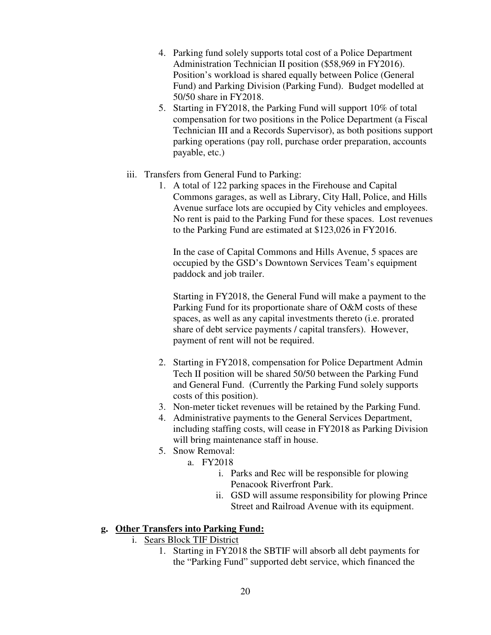- 4. Parking fund solely supports total cost of a Police Department Administration Technician II position (\$58,969 in FY2016). Position's workload is shared equally between Police (General Fund) and Parking Division (Parking Fund). Budget modelled at 50/50 share in FY2018.
- 5. Starting in FY2018, the Parking Fund will support 10% of total compensation for two positions in the Police Department (a Fiscal Technician III and a Records Supervisor), as both positions support parking operations (pay roll, purchase order preparation, accounts payable, etc.)
- iii. Transfers from General Fund to Parking:
	- 1. A total of 122 parking spaces in the Firehouse and Capital Commons garages, as well as Library, City Hall, Police, and Hills Avenue surface lots are occupied by City vehicles and employees. No rent is paid to the Parking Fund for these spaces. Lost revenues to the Parking Fund are estimated at \$123,026 in FY2016.

In the case of Capital Commons and Hills Avenue, 5 spaces are occupied by the GSD's Downtown Services Team's equipment paddock and job trailer.

Starting in FY2018, the General Fund will make a payment to the Parking Fund for its proportionate share of O&M costs of these spaces, as well as any capital investments thereto (i.e. prorated share of debt service payments / capital transfers). However, payment of rent will not be required.

- 2. Starting in FY2018, compensation for Police Department Admin Tech II position will be shared 50/50 between the Parking Fund and General Fund. (Currently the Parking Fund solely supports costs of this position).
- 3. Non-meter ticket revenues will be retained by the Parking Fund.
- 4. Administrative payments to the General Services Department, including staffing costs, will cease in FY2018 as Parking Division will bring maintenance staff in house.
- 5. Snow Removal:
	- a. FY2018
		- i. Parks and Rec will be responsible for plowing Penacook Riverfront Park.
		- ii. GSD will assume responsibility for plowing Prince Street and Railroad Avenue with its equipment.

# **g. Other Transfers into Parking Fund:**

- i. Sears Block TIF District
	- 1. Starting in FY2018 the SBTIF will absorb all debt payments for the "Parking Fund" supported debt service, which financed the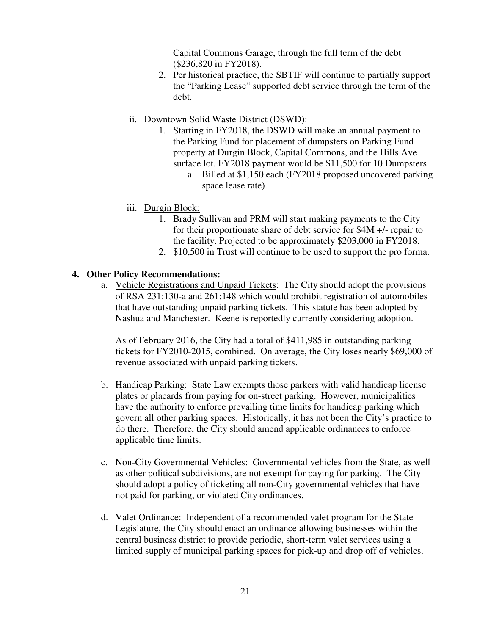Capital Commons Garage, through the full term of the debt (\$236,820 in FY2018).

- 2. Per historical practice, the SBTIF will continue to partially support the "Parking Lease" supported debt service through the term of the debt.
- ii. Downtown Solid Waste District (DSWD):
	- 1. Starting in FY2018, the DSWD will make an annual payment to the Parking Fund for placement of dumpsters on Parking Fund property at Durgin Block, Capital Commons, and the Hills Ave surface lot. FY2018 payment would be \$11,500 for 10 Dumpsters.
		- a. Billed at \$1,150 each (FY2018 proposed uncovered parking space lease rate).
- iii. Durgin Block:
	- 1. Brady Sullivan and PRM will start making payments to the City for their proportionate share of debt service for \$4M +/- repair to the facility. Projected to be approximately \$203,000 in FY2018.
	- 2. \$10,500 in Trust will continue to be used to support the pro forma.

#### **4. Other Policy Recommendations:**

a. Vehicle Registrations and Unpaid Tickets: The City should adopt the provisions of RSA 231:130-a and 261:148 which would prohibit registration of automobiles that have outstanding unpaid parking tickets. This statute has been adopted by Nashua and Manchester. Keene is reportedly currently considering adoption.

As of February 2016, the City had a total of \$411,985 in outstanding parking tickets for FY2010-2015, combined. On average, the City loses nearly \$69,000 of revenue associated with unpaid parking tickets.

- b. Handicap Parking: State Law exempts those parkers with valid handicap license plates or placards from paying for on-street parking. However, municipalities have the authority to enforce prevailing time limits for handicap parking which govern all other parking spaces. Historically, it has not been the City's practice to do there. Therefore, the City should amend applicable ordinances to enforce applicable time limits.
- c. Non-City Governmental Vehicles: Governmental vehicles from the State, as well as other political subdivisions, are not exempt for paying for parking. The City should adopt a policy of ticketing all non-City governmental vehicles that have not paid for parking, or violated City ordinances.
- d. Valet Ordinance: Independent of a recommended valet program for the State Legislature, the City should enact an ordinance allowing businesses within the central business district to provide periodic, short-term valet services using a limited supply of municipal parking spaces for pick-up and drop off of vehicles.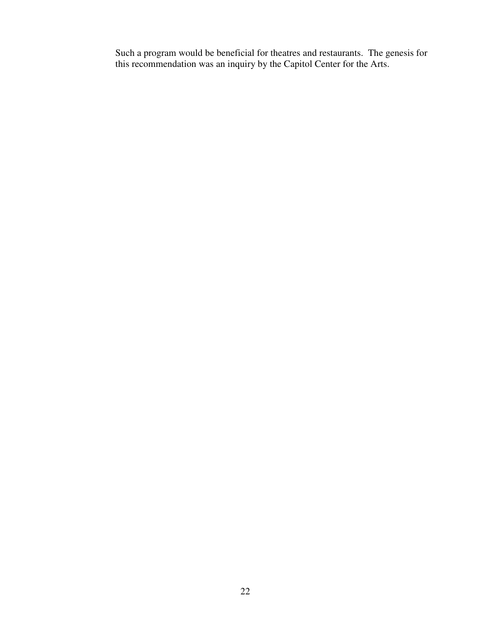Such a program would be beneficial for theatres and restaurants. The genesis for this recommendation was an inquiry by the Capitol Center for the Arts.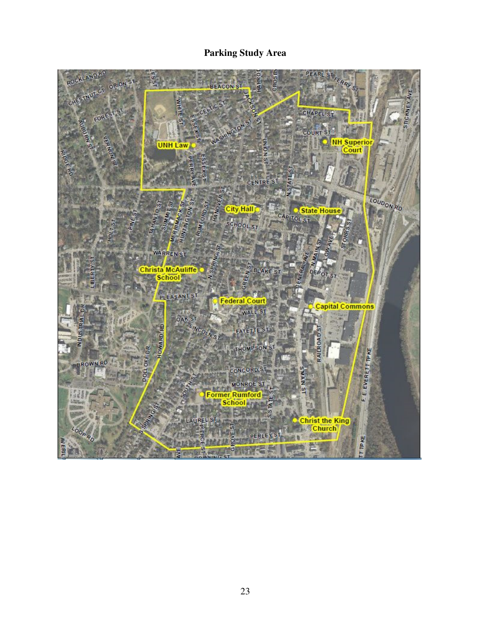# **Parking Study Area**

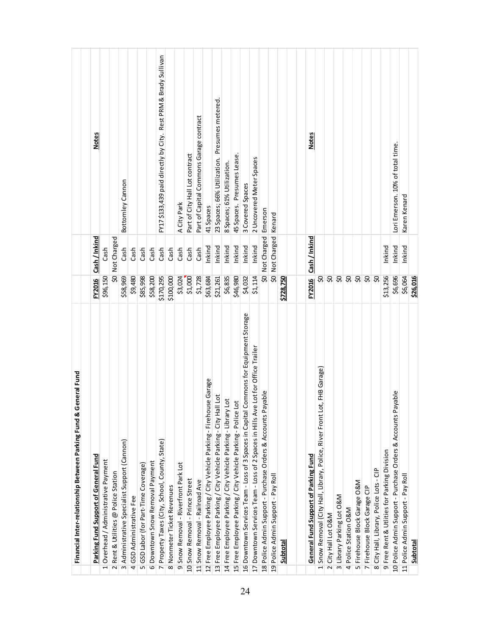| General Fund<br>Financial Inter-relationship Between Parking Fund &                      |                          |                          |                                                                  |
|------------------------------------------------------------------------------------------|--------------------------|--------------------------|------------------------------------------------------------------|
| Parking Fund Support of General Fund                                                     | <b>FY2016</b>            | Cash / Inkind            | <b>Notes</b>                                                     |
| 1 Overhead / Administrative Payment                                                      | \$96,150                 | Cash                     |                                                                  |
| 2 Rent & Utilities @ Police Station                                                      | æ                        | Not Charged              |                                                                  |
| 3 Administrative Specialist Support (Cannon)                                             | \$58,969                 | Cash                     | Bottomley Cannon                                                 |
| 4 GSD Administrative Fee                                                                 | \$9,480                  | $\cosh$                  |                                                                  |
| 5 GSD Labor (for Part-Time Coverage)                                                     | \$85,998                 | $\mathsf{Cas}\mathsf{h}$ |                                                                  |
| 6 Downtown Snow Removal Payment                                                          | \$58,200                 | Cash                     |                                                                  |
| 7 Property Taxes (City, School, County, State)                                           | \$170,295                | Cash                     | FY17 \$133, 439 paid directly by City. Rest PRM & Brady Sullivan |
| 8 Nonmeter Ticket Revenues                                                               | \$100,000                | $\mathsf{Cash}$          |                                                                  |
| Snow Removal - Riverfront Park Lot<br>$\sigma$                                           | \$3,024                  | $\mathsf{Cash}$          | A City Park                                                      |
| 10 Snow Removal - Prince Street                                                          | \$1,000                  | $\mathsf{Cas}\mathsf{h}$ | Part of City Hall Lot contract                                   |
| 11 Snow Removal - Railroad Ave                                                           | \$1,728                  | $\mathsf{Cas}\mathsf{h}$ | Part of Capital Commons Garage contract                          |
| 12 Free Employee Parking / City Vehicle Parking - Firehouse Garage                       | \$63,684                 | Inkind                   | 41 Spaces                                                        |
| 13 Free Employee Parking / City Vehicle Parking - City Hall Lot                          | \$21,261                 | Inkind                   | Presumes metered.<br>23 Spaces; 66% Utilization.                 |
| 14 Free Employee Parking / City Vehicle Parking - Library Lot                            | \$6,835                  | Inkind                   | 8 Spaces; 61% Utilization.                                       |
| 15 Free Employee Parking / City Vehicle Parking - Police Lot                             | \$46,980                 | Inkind                   | 45 Spaces. Presumes Lease                                        |
| Commons for Equipment Storage<br>16 Downtown Services Team - Loss of 3 Spaces in Capital | \$4,032                  | Inkind                   | 3 Covered Spaces                                                 |
| e Lot for Office Trailer<br>17 Downtown Services Team - Loss of 2 Spaces in Hills Av     | \$1,114                  | Inkind                   | 2 Uncovered Meter Spaces                                         |
| ayable<br>18 Police Admin Support - Purchase Orders & Accounts P                         | \$                       | Not Charged Emerson      |                                                                  |
| 19 Police Admin Support - Pay Roll                                                       | $\overline{\mathcal{S}}$ | Not Charged   Kenard     |                                                                  |
| Subtotal                                                                                 | \$728,750                |                          |                                                                  |
|                                                                                          |                          |                          |                                                                  |
| General Fund Support of Parking Fund                                                     | FY2016                   | Cash / Inkind            | <b>Notes</b>                                                     |
| Snow Removal (City Hall, Library, Police, River Front Lot, FHB Garage)                   |                          |                          |                                                                  |
| 2 City Hall Lot O&M                                                                      |                          |                          |                                                                  |
| 3 Library Parking Lot O&M                                                                |                          |                          |                                                                  |
| 4 Police Station O&M                                                                     | $8888888$                |                          |                                                                  |
| 5 Firehouse Block Garage O&M                                                             |                          |                          |                                                                  |
| 7 Firehouse Block Garage CIP                                                             |                          |                          |                                                                  |
| 8 City Hall, Library, Police Lots - CIP                                                  |                          |                          |                                                                  |
| 9 Free Rent & Utlities for Parking Division                                              | \$13,256                 | Inkind                   |                                                                  |
| 10 Police Admin Support - Purchase Orders & Accounts Payable                             | \$6,696                  | Inkind                   | Lori Emerson. 10% of total time.                                 |
| 11 Police Admin Support - Pay Roll                                                       | \$6,064                  | Inkind                   | Karen Kenard                                                     |
| <b>Subtotal</b>                                                                          | \$26,016                 |                          |                                                                  |